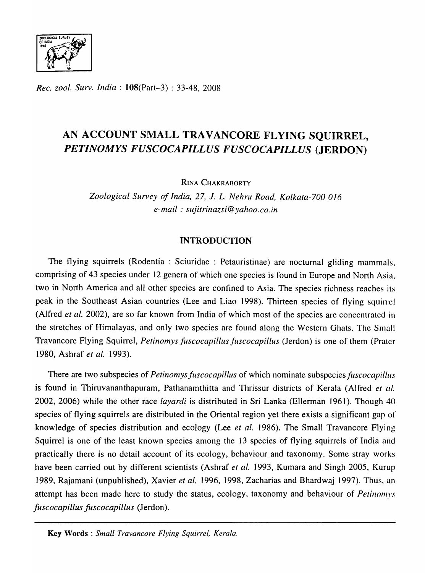

*Rec. zool. Surv. India:* I08(Part-3) : 33-48, 2008

# AN ACCOUNT SMALL TRAVANCORE FLYING SOUIRREL. *PETINOMYS FUSCOCAPILLUS FUSCOCAPILLUS* (JERDON)

RINA CHAKRABORTY

*Zoological Survey oj India,* 27, 1. *L. Nehru Road, Kolkata-700 016 e-mail: sujitrinazsi@yahoo.co.in* 

# INTRODUCTION

The flying squirrels (Rodentia : Sciuridae : Petauristinae) are nocturnal gliding mammals, comprising of 43 species under 12 genera of which one species is found in Europe and North Asia. two in North America and all other species are confined to Asia. The species richness reaches its peak in the Southeast Asian countries (Lee and Liao 1998). Thirteen species of flying squirrel (Alfred *et al.* 2002), are so far known from India of which most of the species are concentrated in the stretches of Himalayas, and only two species are found along the Western Ghats. The Small Travancore Flying Squirrel, *Petinomys juscocapillus juscocapillus* (Jerdon) is one of them (Prater 1980, Ashraf *et al.* 1993).

There are two subspecies of *Petinomys fuscocapillus* of which nominate subspecies *fuscocapillus* is found in Thiruvananthapuram, Pathanamthitta and Thrissur districts of Kerala (Alfred *et al.*  2002, 2006) while the other race *layardi* is distributed in Sri Lanka (Ellerman 1961). Though 40 species of flying squirrels are distributed in the Oriental region yet there exists a significant gap of knowledge of species distribution and ecology (Lee *et al.* 1986). The Small Travancore Flying Squirrel is one of the least known species among the 13 species of flying squirrels of India and practically there is no detail account of its ecology, behaviour and taxonomy. Some stray works have been carried out by different scientists (Ashraf *et al.* 1993, Kumara and Singh 2005, Kurup 1989, Rajamani (unpublished), Xavier *et al.* 1996, 1998, Zacharias and Bhardwaj 1997). Thus, an attempt has been made here to study the status, ecology, taxonomy and behaviour of *Petinomys juscocapillus juscocapillus* (Jerdon).

Key Words: *Small Travancore Flying Squirrel, Kerala.*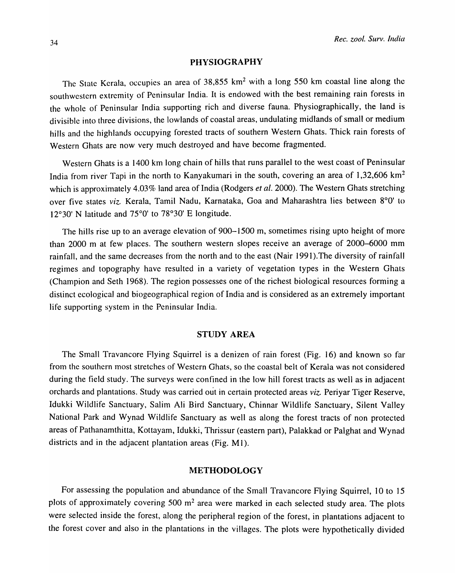### PHYSIOGRAPHY

The State Kerala, occupies an area of 38,855 km<sup>2</sup> with a long 550 km coastal line along the southwestern extremity of Peninsular India. It is endowed with the best remaining rain forests in the whole of Peninsular India supporting rich and diverse fauna. Physiographically, the land is divisible into three divisions, the lowlands of coastal areas, undulating midlands of small or medium hills and the highlands occupying forested tracts of southern Western Ghats. Thick rain forests of Western Ghats are now very much destroyed and have become fragmented.

Western Ghats is a 1400 km long chain of hills that runs parallel to the west coast of Peninsular India from river Tapi in the north to Kanyakumari in the south, covering an area of 1,32,606 km<sup>2</sup> which is approximately 4.03% land area of India (Rodgers *et al.* 2000). The Western Ghats stretching over five states *viz.* Kerala, Tamil Nadu, Karnataka, Goa and Maharashtra lies between 8°0' to 12°30' N latitude and 75°0' to 78°30' E longitude.

The hills rise up to an average elevation of 900-1500 m, sometimes rising upto height of more than 2000 m at few places. The southern western slopes receive an average of 2000-6000 mm rainfall, and the same decreases from the north and to the east (Nair 1991 ).The diversity of rainfall regimes and topography have resulted in a variety of vegetation types in the Western Ghats (Champion and Seth 1968). The region possesses one of the richest biological resources forming a distinct ecological and biogeographical region of India and is considered as an extremely important life supporting system in the Peninsular India.

### STUDY AREA

The Small Travancore Flying Squirrel is a denizen of rain forest (Fig. 16) and known so far from the southern most stretches of Western Ghats, so the coastal belt of Kerala was not considered during the field study. The surveys were confined in the low hill forest tracts as well as in adjacent orchards and plantations. Study was carried out in certain protected areas *viz.* Periyar Tiger Reserve, Idukki Wildlife Sanctuary, Salim Ali Bird Sanctuary, Chinnar Wildlife Sanctuary, Silent Valley National Park and Wynad Wildlife Sanctuary as well as along the forest tracts of non protected areas of Pathanamthitta, Kottayam, Idukki, Thrissur (eastern part), Palakkad or Palghat and Wynad districts and in the adjacent plantation areas (Fig. M1).

## METHODOLOGY

For assessing the population and abundance of the Small Travancore Flying Squirrel, 10 to 15 plots of approximately covering 500  $m<sup>2</sup>$  area were marked in each selected study area. The plots were selected inside the forest, along the peripheral region of the forest, in plantations adjacent to the forest cover and also in the plantations in the villages. The plots were hypothetically divided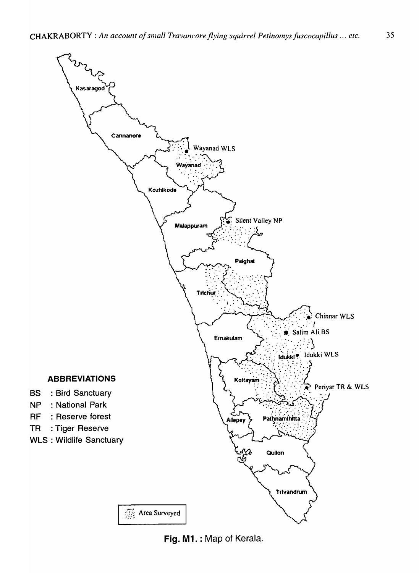

**Fig. M1. : Map of Kerala.**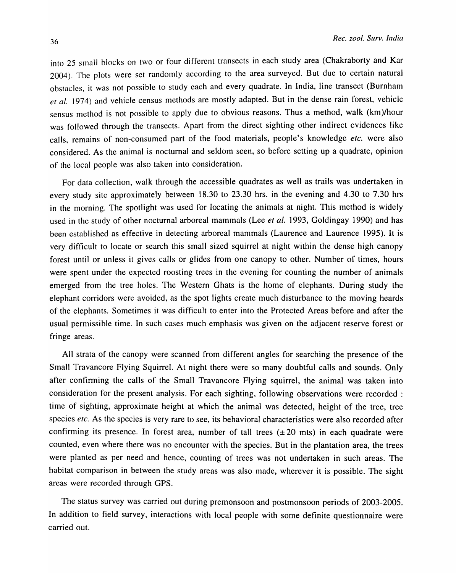into 25 small blocks on two or four different transects in each study area (Chakraborty and Kar 2004). The plots were set randomly according to the area surveyed. But due to certain natural obstacles, it was not possible to study each and every quadrate. In India, line transect (Burnham *et al.* 1974) and vehicle census methods are mostly adapted. But in the dense rain forest, vehicle sensus method is not possible to apply due to obvious reasons. Thus a method, walk (km)/hour was followed through the transects. Apart from the direct sighting other indirect evidences like calls, remains of non-consumed part of the food materials, people's knowledge *etc.* were also considered. As the animal is nocturnal and seldom seen, so before setting up a quadrate, opinion of the local people was also taken into consideration.

For data collection, walk through the accessible quadrates as well as trails was undertaken in every study site approximately between 18.30 to 23.30 hrs. in the evening and 4.30 to 7.30 hrs in the morning. The spotlight was used for locating the animals at night. This method is widely used in the study of other nocturnal arboreal mammals (Lee *et al.* 1993, Goldingay 1990) and has been established as effective in detecting arboreal mammals (Laurence and Laurence 1995). It is very difficult to locate or search this small sized squirrel at night within the dense high canopy forest until or unless it gives calls or glides from one canopy to other. Number of times, hours were spent under the expected roosting trees in the evening for counting the number of animals emerged from the tree holes. The Western Ghats is the home of elephants. During study the elephant corridors were avoided, as the spot lights create much disturbance to the moving heards of the elephants. Sometimes it was difficult to enter into the Protected Areas before and after the usual permissible time. In such cases much emphasis was given on the adjacent reserve forest or fringe areas.

All strata of the canopy were scanned from different angles for searching the presence of the Small Travancore Flying Squirrel. At night there were so many doubtful calls and sounds. Only after confirming the calls of the Small Travancore Flying squirrel, the animal was taken into consideration for the present analysis. For each sighting, following observations were recorded : time of sighting, approximate height at which the animal was detected, height of the tree, tree species *etc.* As the species is very rare to see, its behavioral characteristics were also recorded after confirming its presence. In forest area, number of tall trees  $(\pm 20 \text{ m/s})$  in each quadrate were counted, even where there was no encounter with the species. But in the plantation area, the trees were planted as per need and hence, counting of trees was not undertaken in such areas. The habitat comparison in between the study areas was also made, wherever it is possible. The sight areas were recorded through GPS.

The status survey was carried out during premonsoon and postmonsoon periods of 2003-2005. In addition to field survey, interactions with local people with some definite questionnaire were carried out.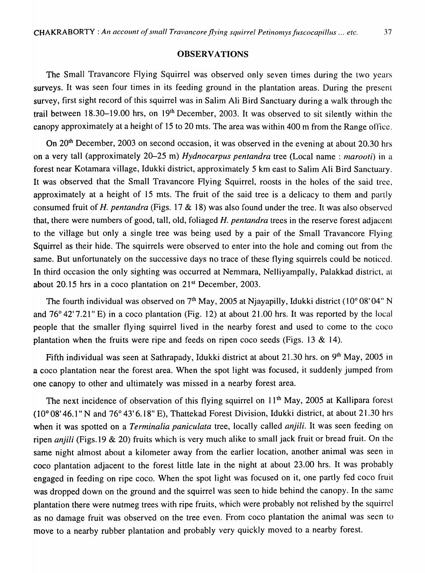#### **OBSERVATIONS**

The Small Travancore Flying Squirrel was observed only seven times during the two years surveys. It was seen four times in its feeding ground in the plantation areas. During the present survey, first sight record of this squirrel was in Salim Ali Bird Sanctuary during a walk through the trail between 18.30-19.00 hrs, on 19th December, 2003. It was observed to sit silently within the canopy approximately at a height of 15 to 20 mts. The area was within 400 m from the Range office.

On 20<sup>th</sup> December, 2003 on second occasion, it was observed in the evening at about 20.30 hrs on a very tall (approximately 20–25 m) *Hydnocarpus pentandra* tree (Local name: *narooti*) in a forest near Kotamara village, Idukki district, approximately 5 km east to Salim Ali Bird Sanctuary. It was observed that the Small Travancore Flying Squirrel, roosts in the holes of the said tree, approximately at a height of 15 mts. The fruit of the said tree is a delicacy to them and partly consumed fruit of *H. pentandra* (Figs. 17 & 18) was also found under the tree. It was also observed that, there were numbers of good, tall, old, foliaged *H. pentandra* trees in the reserve forest adjacent to the village but only a single tree was being used by a pair of the Small Travancore Flying Squirrel as their hide. The squirrels were observed to enter into the hole and coming out from the same. But unfortunately on the successive days no trace of these flying squirrels could be noticed. In third occasion the only sighting was occurred at Nemmara, Nelliyampally, Palakkad district, at about 20.15 hrs in a coco plantation on  $21<sup>st</sup>$  December, 2003.

The fourth individual was observed on  $7<sup>th</sup>$  May, 2005 at Njayapilly, Idukki district (10 $^{\circ}$  08' 04" N and 76° 42' 7.21" E) in a coco plantation (Fig. 12) at about 21.00 hrs. It was reported by the local people that the smaller flying squirrel lived in the nearby forest and used to come to the coco plantation when the fruits were ripe and feeds on ripen coco seeds (Figs. 13  $\&$  14).

Fifth individual was seen at Sathrapady, Idukki district at about 21.30 hrs. on 9<sup>th</sup> May, 2005 in a coco plantation near the forest area. When the spot light was focused, it suddenly jumped from one canopy to other and ultimately was missed in a nearby forest area.

The next incidence of observation of this flying squirrel on 11<sup>th</sup> May, 2005 at Kallipara forest (10° 08' 46.1" N and 76° 43' 6.18" E), Thattekad Forest Division, Idukki district, at about 21.30 hrs when it was spotted on a *Terminalia paniculata* tree, locally called *anjili*. It was seen feeding on ripen *anjili* (Figs.19 & 20) fruits which is very much alike to small jack fruit or bread fruit. On the same night almost about a kilometer away from the earlier location, another animal was seen in coco plantation adjacent to the forest little late in the night at about 23.00 hrs. It was probably engaged in feeding on ripe coco. When the spot light was focused on it, one partly fed coco fruit was dropped down on the ground and the squirrel was seen to hide behind the canopy. In the same plantation there were nutmeg trees with ripe fruits, which were probably not relished by the squirrel as no damage fruit was observed on the tree even. From coco plantation the animal was seen to move to a nearby rubber plantation and probably very quickly moved to a nearby forest.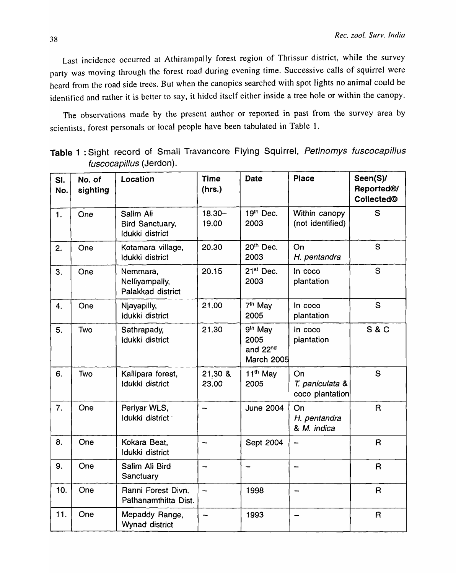Last incidence occurred at Athirampally forest region of Thrissur district, while the survey party was moving through the forest road during evening time. Successive calls of squirrel were heard from the road side trees. But when the canopies searched with spot lights no animal could be identified and rather it is better to say, it hided itself either inside a tree hole or within the canopy.

The observations made by the present author or reported in past from the survey area by scientists, forest personals or local people have been tabulated in Table 1.

| SI.<br>No. | No. of<br>sighting | Location                                               | <b>Time</b><br>(hrs.) | <b>Date</b>                                                  | <b>Place</b>                             | Seen(S)/<br>Reported®/<br>Collected© |
|------------|--------------------|--------------------------------------------------------|-----------------------|--------------------------------------------------------------|------------------------------------------|--------------------------------------|
| 1.         | One                | Salim Ali<br><b>Bird Sanctuary,</b><br>Idukki district | $18.30 -$<br>19.00    | 19th Dec.<br>2003                                            | Within canopy<br>(not identified)        | S                                    |
| 2.         | One                | Kotamara village,<br>Idukki district                   | 20.30                 | 20 <sup>th</sup> Dec.<br>2003                                | On<br>H. pentandra                       | S                                    |
| 3.         | One                | Nemmara,<br>Nelliyampally,<br>Palakkad district        | 20.15                 | $21st$ Dec.<br>2003                                          | In coco<br>plantation                    | S                                    |
| 4.         | One                | Njayapilly,<br>Idukki district                         | 21.00                 | 7 <sup>th</sup> May<br>2005                                  | In coco<br>plantation                    | S                                    |
| 5.         | Two                | Sathrapady,<br>Idukki district                         | 21.30                 | 9th May<br>2005<br>and 22 <sup>nd</sup><br><b>March 2005</b> | In coco<br>plantation                    | <b>S&amp;C</b>                       |
| 6.         | Two                | Kallipara forest,<br>Idukki district                   | 21.30 &<br>23.00      | 11 <sup>th</sup> May<br>2005                                 | On<br>T. paniculata &<br>coco plantation | S                                    |
| 7.         | One                | Periyar WLS,<br>Idukki district                        | $\rightarrow$         | <b>June 2004</b>                                             | On<br>H. pentandra<br>& M. indica        | $\mathsf{R}$                         |
| 8.         | One                | Kokara Beat,<br>Idukki district                        | -                     | Sept 2004                                                    |                                          | $\mathsf{R}$                         |
| 9.         | One                | Salim Ali Bird<br>Sanctuary                            | -                     |                                                              |                                          | $\mathsf R$                          |
| 10.        | One                | Ranni Forest Divn.<br>Pathanamthitta Dist.             | -                     | 1998                                                         |                                          | $\mathsf R$                          |
| 11.        | One                | Mepaddy Range,<br>Wynad district                       |                       | 1993                                                         |                                          | $\mathsf{R}$                         |

Table 1 : Sight record of Small Travancore Flying Squirrel, Petinomys fuscocapillus fuscocapillus (Jerdon).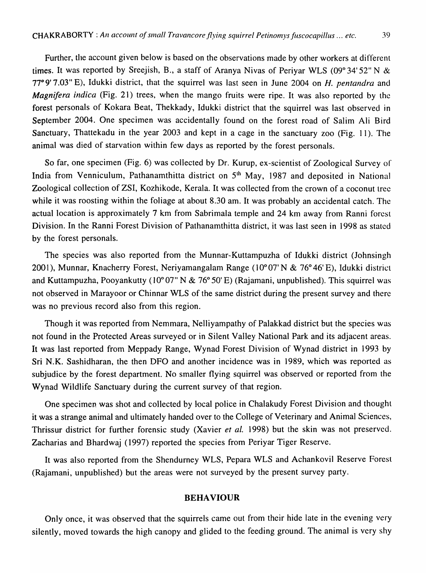Further, the account given below is based on the observations made by other workers at different times. It was reported by Sreejish, B., a staff of Aranya Nivas of Periyar WLS (09° 34' 52" N & *77°9'7.03"* E), Idukki district, that the squirrel was last seen in June 2004 on *H. pentandra* and *Magnifera indica* (Fig. 21) trees, when the mango fruits were ripe. It was also reported by the forest personals of Kokara Beat, Thekkady, Idukki district that the squirrel was last observed in September 2004. One specimen was accidentally found on the forest road of Salim Ali Bird Sanctuary, Thattekadu in the year 2003 and kept in a cage in the sanctuary zoo (Fig. 11). The animal was died of starvation within few days as reported by the forest personals.

So far, one specimen (Fig. 6) was collected by Dr. Kurup, ex-scientist of Zoological Survey of India from Venniculum, Pathanamthitta district on 5<sup>th</sup> May, 1987 and deposited in National Zoological collection of ZSI, Kozhikode, Kerala. It was collected from the crown of a coconut tree while it was roosting within the foliage at about 8.30 am. It was probably an accidental catch. The actual location is approximately 7 km from Sabrimala temple and 24 km away from Ranni forest Division. In the Ranni Forest Division of Pathanamthitta district, it was last seen in 1998 as stated by the forest personals.

The species was also reported from the Munnar-Kuttampuzha of Idukki district (Johnsingh 2001), Munnar, Knacherry Forest, Neriyamangalam Range (10° 07' N & 76° 46' E), Idukki district and Kuttampuzha, Pooyankutty (10° 07" N & 76° 50' E) (Rajamani, unpublished). This squirrel was not observed in Marayoor or Chinnar WLS of the same district during the present survey and there was no previous record also from this region.

Though it was reported from Nemmara, Nelliyampathy of Palakkad district but the species was not found in the Protected Areas surveyed or in Silent Valley National Park and its adjacent areas. It was last reported from Meppady Range, Wynad Forest Division of Wynad district in 1993 by Sri N.K. Sashidharan, the then DFO and another incidence was in 1989, which was reported as subjudice by the forest department. No smaller flying squirrel was observed or reported from the Wynad Wildlife Sanctuary during the current survey of that region.

One specimen was shot and collected by local police in Chalakudy Forest Division and thought it was a strange animal and ultimately handed over to the College of Veterinary and Animal Sciences, Thrissur district for further forensic study (Xavier *et al.* 1998) but the skin was not preserved. Zacharias and Bhardwaj (1997) reported the species from Periyar Tiger Reserve.

It was also reported from the Shendurney WLS, Pepara WLS and Achankovil Reserve Forest (Rajamani, unpublished) but the areas were not surveyed by the present survey party.

### BEHAVIOUR

Only once, it was observed that the squirrels came out from their hide late in the evening very silently, moved towards the high canopy and glided to the feeding ground. The animal is very shy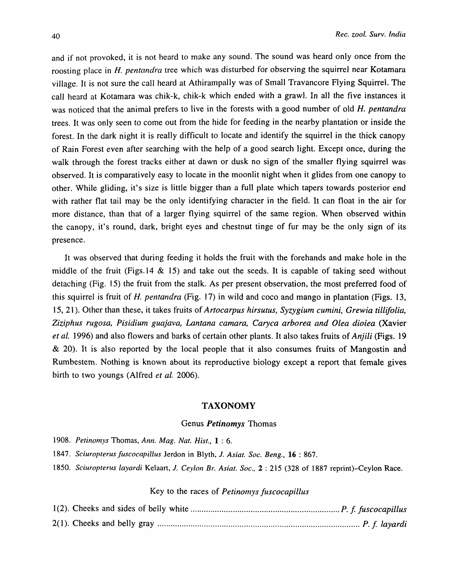and if not provoked, it is not heard to make any sound. The sound was heard only once from the roosting place in *H. pentandra* tree which was disturbed for observing the squirrel near Kotamara village. It is not sure the call heard at Athirampally was of Small Travancore Flying Squirrel. The caJl heard at Kotamara was chik-k, chik-k which ended with a grawl. In all the five instances it was noticed that the animal prefers to live in the forests with a good number of old *H. pentandra*  trees. It was only seen to come out from the hide for feeding in the nearby plantation or inside the forest. In the dark night *it* is really difficult to locate and identify the squirrel in the thick canopy of Rain Forest even after searching with the help of a good search *light.* Except once, during the walk through the forest tracks either at dawn or dusk no sign of the smaller flying squirrel was observed. It is comparatively easy to locate in the moonlit night when it glides from one canopy to other. While gliding, it's size is little bigger than a full plate which tapers towards posterior end with rather flat tail may be the only identifying character in the field. It can float in the air for more distance, than that of a larger flying squirrel of the same region. When observed within the canopy, it's round, dark, bright eyes and chestnut tinge of fur may be the only sign of its presence.

It was observed that during feeding *it* holds the fruit with the forehands and make hole in the middle of the fruit (Figs. 14  $\&$  15) and take out the seeds. It is capable of taking seed without detaching (Fig. 15) the fruit from the stalk. As per present observation, the most preferred food of this squirrel is fruit of H. *pentandra* (Fig. 17) in wild and coco and mango in plantation (Figs. 13, IS, 21). Other than these, it takes fruits of *Artocarpus hirsutus, Syzygium cumini, Grewia tillifolia, Ziziphus rugosa, Pisidium guajava, Lantana camara, Caryca arborea and Olea dioiea* (Xavier *et al.* 1996) and also flowers and barks of certain other plants. It also takes fruits of *Anjili* (Figs. 19  $\&$  20). It is also reported by the local people that it also consumes fruits of Mangostin and Rumbestem. Nothing is known about its reproductive biology except a report that female gives birth to two youngs (Alfred *et al. 2006).* 

#### TAXONOMY

#### Genus *Petinomys* Thomas

- *1908. Petinomys* Thomas, *Ann. Mag. Nat. Hist.,* 1 : 6.
- *1847. Sciuropterus Juscocapillus* Jerdon in Blyth, 1. *Asiat. Soc. Beng.,* 16 : 867.
- *1850. Sciuropterus layardi* Kelaart, *1. Ceylon Br. Asiat. Soc.,* 2 : 215 (328 of 1887 reprint)-Ceylon Race.

### Key to the races of *Petinomys fuscocapillus*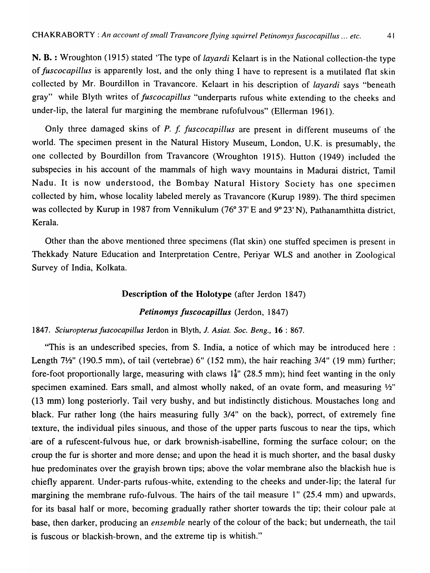N. B. : Wroughton (1915) stated 'The type of *layardi* Kelaart is in the National collection-the type of *fuscocapillus* is apparently lost, and the only thing I have to represent is a mutilated flat skin collected by Mr. Bourdillon in Travancore. Kelaart in his description of *layardi* says "beneath gray" while Blyth writes of *Juscocapillus* "underparts rufous white extending to the cheeks and under-lip, the lateral fur margining the membrane rufofulvous" (Ellerman 1961).

Only three damaged skins of *P. f. fuscocapillus* are present in different museums of the world. The specimen present in the Natural History Museum, London, U.K. is presumably, the one collected by Bourdillon from Travancore (Wroughton 1915). Hutton (1949) included the subspecies in his account of the mammals of high wavy mountains in Madurai district, Tamil Nadu. It is now understood, the Bombay Natural History Society has one specimen collected by him, whose locality labeled merely as Travancore (Kurup 1989). The third specimen was collected by Kurup in 1987 from Vennikulum (76° 37' E and 9° 23' N), Pathanamthitta district, Kerala.

Other than the above mentioned three specimens (flat skin) one stuffed specimen is present in Thekkady Nature Education and Interpretation Centre, Periyar WLS and another in Zoological Survey of India, Kolkata.

## Description of the Holotype (after Jerdon 1847)

# *Petinomys Juscocapillus* (Jerdon, 1847)

### 1847. *Sciuropterus Juscocapillus* lerdon in Blyth, J. *Asiat. Soc. Beng.,* 16 : 867.

"This is an undescribed species, from S. India, a notice of which may be introduced here : Length 7<sup>1</sup>/<sub>2</sub>" (190.5 mm), of tail (vertebrae) 6" (152 mm), the hair reaching 3/4" (19 mm) further; fore-foot proportionally large, measuring with claws  $1\frac{1}{8}$ " (28.5 mm); hind feet wanting in the only specimen examined. Ears small, and almost wholly naked, of an ovate form, and measuring  $\frac{1}{2}$ " (13 mm) long posteriorly. Tail very bushy, and but indistinctly distichous. Moustaches long and black. Fur rather long (the hairs measuring fully 3/4" on the back), porrect, of extremely fine texture, the individual piles sinuous, and those of the upper parts fuscous to near the tips, which are of a rufescent-fulvous hue, or dark brownish-isabelline, forming the surface colour; on the croup the fur is shorter and more dense; and upon the head it is much shorter, and the basal dusky hue predominates over the grayish brown tips; above the volar membrane also the blackish hue is chiefly apparent. Under-parts rufous-white, extending to the cheeks and under-lip; the lateral fur margining the membrane rufo-fulvous. The hairs of the tail measure 1" (25.4 mm) and upwards, for its basal half or more, becoming gradually rather shorter towards the tip; their colour pale at base, then darker, producing an *ensemble* nearly of the colour of the back; but underneath, the tail is fuscous or blackish-brown, and the extreme tip is whitish."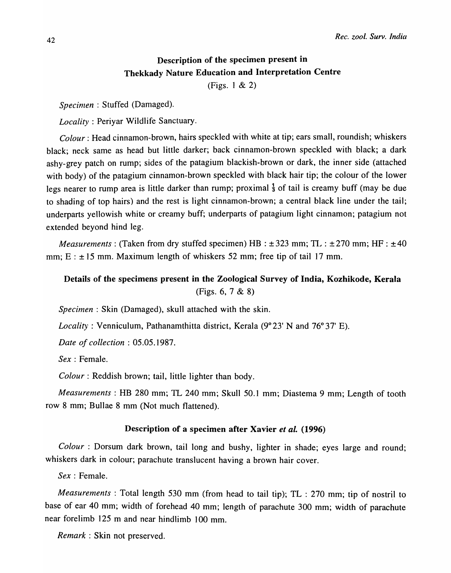# Description of the specimen present in Thekkady Nature Education and Interpretation Centre

(Figs. 1 & 2)

Specimen : Stuffed (Damaged).

*Locality:* Periyar Wildlife Sanctuary.

*Colour:* Head cinnamon-brown, hairs speckled with white at tip; ears small, roundish; whiskers black; neck same as head but little darker; back cinnamon-brown speckled with black; a dark ashy-grey patch on rump; sides of the patagium blackish-brown or dark, the inner side (attached with body) of the patagium cinnamon-brown speckled with black hair tip; the colour of the lower legs nearer to rump area is little darker than rump; proximal  $\frac{1}{3}$  of tail is creamy buff (may be due to shading of top hairs) and the rest is light cinnamon-brown; a central black line under the tail; underparts yellowish white or creamy buff; underparts of patagium light cinnamon; patagium not extended beyond hind leg.

*Measurements*: *(Taken from dry stuffed specimen)*  $HB : ±323$  mm;  $TL : ±270$  mm;  $HF : ±40$ mm;  $E : \pm 15$  mm. Maximum length of whiskers 52 mm; free tip of tail 17 mm.

# Details of the specimens present in the Zoological Survey of India, Kozhikode, Kerala (Figs. 6, 7 & 8)

*Specimen:* Skin (Damaged), skull attached with the skin.

*Locality*: Venniculum, Pathanamthitta district, Kerala (9°23' N and 76°37' E).

*Date of collection:* 05.05.1987.

*Sex* : Female.

*Colour*: Reddish brown; tail, little lighter than body.

*Measurements:* HB 280 mm; TL 240 mm; Skull 50.1 mm; Diastema 9 mm; Length of tooth row 8 mm; Bullae 8 mm (Not much flattened).

## Description of a specimen after Xavier *et al. (1996)*

*Colour* : Dorsum dark brown, tail long and bushy, lighter in shade; eyes large and round; whiskers dark in colour; parachute translucent having a brown hair cover.

*Sex:* Female.

*Measurements*: Total length 530 mm (from head to tail tip); TL: 270 mm; tip of nostril to base of ear 40 mm; width of forehead 40 mm; length of parachute 300 mm; width of parachute near forelimb 125 m and near hindlimb 100 mm.

*Remark:* Skin not preserved.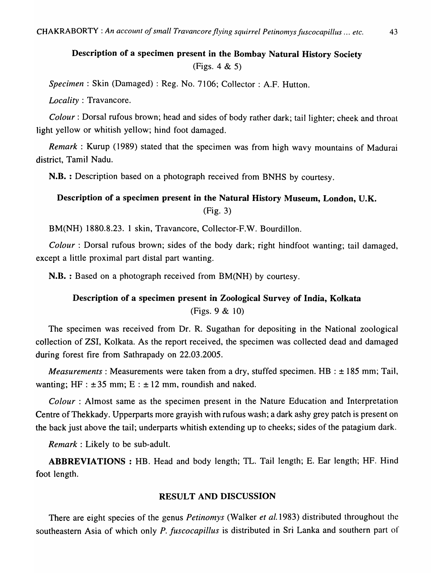# Description of a specimen present in the Bombay Natural History Society (Figs. 4 & 5)

*Specimen* : Skin (Damaged) : Reg. No. 7106; Collector : A.F. Hutton.

*Locality:* Travancore.

*Colour:* Dorsal rufous brown; head and sides of body rather dark; tail lighter; cheek and throat light yellow or whitish yellow; hind foot damaged.

*Remark* : Kurup (1989) stated that the specimen was from high wavy mountains of Madurai district, Tamil Nadu.

N.B. : Description based on a photograph received from BNHS by courtesy.

# Description of a specimen present in the Natural History Museum, London, U.K. (Fig. 3)

BM(NH) 1880.8.23. 1 skin, Travancore, Collector-F.W. Bourdillon.

*Colour:* Dorsal rufous brown; sides of the body dark; right hindfoot wanting; tail damaged, except a little proximal part distal part wanting.

N.B. : Based on a photograph received from BM(NH) by courtesy.

# Description of a specimen present in Zoological Survey of India, Kolkata (Figs. 9 & 10)

The specimen was received from Dr. R. Sugathan for depositing in the National zoological collection of ZSI, Kolkata. As the report received, the specimen was collected dead and damaged during forest fire from Sathrapady on 22.03.2005.

*Measurements: Measurements were taken from a dry, stuffed specimen. HB :*  $\pm$  *185 mm; Tail,* wanting; HF :  $\pm 35$  mm; E :  $\pm 12$  mm, roundish and naked.

*Colour:* Almost same as the specimen present in the Nature Education and Interpretation Centre of Thekkady. Upperparts more grayish with rufous wash; a dark ashy grey patch is present on the back just above the tail; underparts whitish extending up to cheeks; sides of the patagium dark.

*Remark:* Likely to be sub-adult.

ABBREVIATIONS: HB. Head and body length; TL. Tail length; E. Ear length; HF. Hind foot length.

# RESULT AND DISCUSSION

There are eight species of the genus *Petinomys* (Walker *et a1.1983)* distributed throughout the southeastern Asia of which only *P. Juscocapillus* is distributed in Sri Lanka and southern part of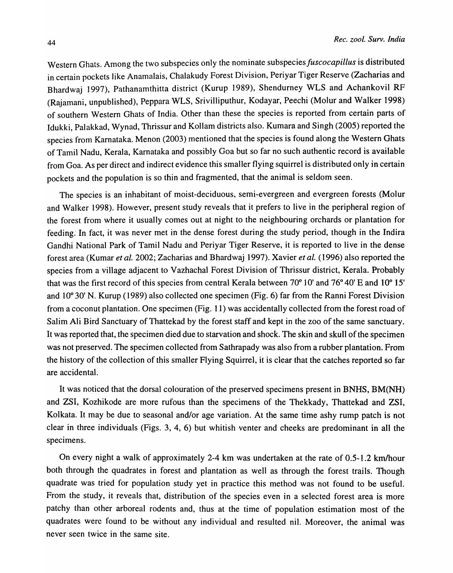Western Ghats. Among the two subspecies only the nominate subspecies *fuscocapillus* is distributed in certain pockets like Anamalais, Chalakudy Forest Division, Periyar Tiger Reserve (Zacharias and Bhardwaj 1997), Pathanamthitta district (Kurup 1989), Shendurney WLS and Achankovil RF (Rajamani, unpublished), Peppara WLS, Srivilliputhur, Kodayar, Peechi (Molur and Walker 1998) of southern Western Ghats of India. Other than these the species is reported from certain parts of Idukki, Palakkad, Wynad, Thrissur and Kollam districts also. Kumara and Singh (2005) reported the species from Karnataka. Menon (2003) mentioned that the species is found along the Western Ghats of Tamil Nadu, Kerala, Karnataka and possibly Goa but so far no such authentic record is available from Goa. As per direct and indirect evidence this smaller flying squirrel is distributed only in certain pockets and the population is so thin and fragmented, that the animal is seldom seen.

The species is an inhabitant of moist-deciduous, semi-evergreen and evergreen forests (Molur and Walker 1998). However, present study reveals that it prefers to live in the peripheral region of the forest from where it usually comes out at night to the neighbouring orchards or plantation for feeding: In fact, it was never met in the dense forest during the study period, though in the Indira Gandhi National Park of Tamil Nadu and Periyar Tiger Reserve, it is reported to live in the dense forest area (Kumar *et al.* 2002; Zacharias and Bhardwaj 1997). Xavier *et al.* (1996) also reported the species from a village adjacent to Vazhachal Forest Division of Thrissur district, Kerala. Probably that was the first record of this species from central Kerala between 70° 10' and 76° 40' E and 10° 15' and 10° 30' N. Kurup (1989) also collected one specimen (Fig. 6) far from the Ranni Forest Division from a coconut plantation. One specimen (Fig. 11) was accidentally collected from the forest road of Salim Ali Bird Sanctuary of Thattekad by the forest staff and kept in the zoo of the same sanctuary. It was reported that, the specimen died due to starvation and shock. The skin and skull of the specimen was not preserved. The specimen collected from Sathrapady was also from a rubber plantation. From the history of the collection of this smaller Flying Squirrel, it is clear that the catches reported so far are accidental.

It was noticed that the dorsal colouration of the preserved specimens present in BNHS, BM(NH) and ZSI, Kozhikode are more rufous than the specimens of the Thekkady, Thattekad and ZSI, Kolkata. It may be due to seasonal and/or age variation. At the same time ashy rump patch is not clear in three individuals (Figs. 3, 4, 6) but whitish venter and cheeks are predominant in all the specimens.

On every night a walk of approximately 2-4 km was undertaken at the rate of 0.5-1.2 km/hour both through the quadrates in forest and plantation as well as through the forest trails. Though quadrate was tried for population study yet in practice this method was not found to be useful. From the study, it reveals that, distribution of the species even in a selected forest area is more patchy than other arboreal rodents and, thus at the time of population estimation most of the quadrates were found to be without any individual and resulted nil. Moreover, the animal was never seen twice in the same site.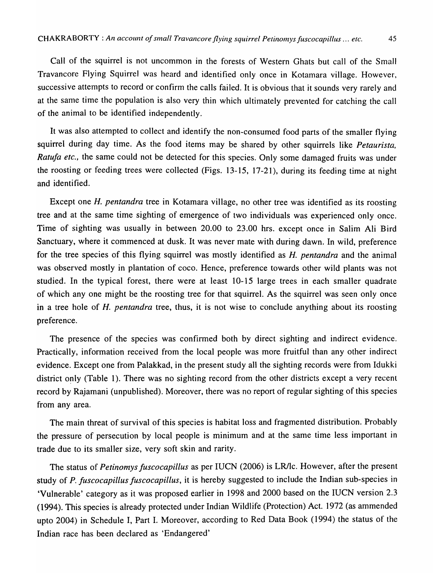Call of the squirrel is not uncommon in the forests of Western Ghats but call of the Small Travancore Flying Squirrel was heard and identified only once in Kotamara village. However, successive attempts to record or confirm the calls failed. It is obvious that it sounds very rarely and at the same time the population is also very thin which ultimately prevented for catching the call of the animal to be identified independently.

It was also attempted to collect and identify the non-consumed food parts of the smaller flying squirrel during day time. As the food items may be shared by other squirrels like *Petaurista, Ratufa etc., the same could not be detected for this species. Only some damaged fruits was under* the roosting or feeding trees were collected (Figs. 13-15, 17-21), during its feeding time at night and identified.

Except one *H. pentandra* tree in Kotamara village, no other tree was identified as its roosting tree and at the same time sighting of emergence of two individuals was experienced only once. Time of sighting was usually in between 20.00 to 23.00 hrs. except once in Salim Ali Bird Sanctuary, where it commenced at dusk. It was never mate with during dawn. In wild, preference for the tree species of this flying squirrel was mostly identified as *H. pentandra* and the animal was observed mostly in plantation of coco. Hence, preference towards other wild plants was not studied. In the typical forest, there were at least 10-15 large trees in each smaller quadrate of which anyone might be the roosting tree for that squirrel. As the squirrel was seen only once in a tree hole of *H. pentandra* tree, thus, it is not wise to conclude anything about its roosting preference.

The presence of the species was confirmed both by direct sighting and indirect evidence. Practically, information received from the local people was more fruitful than any other indirect evidence. Except one from Palakkad, in the present study all the sighting records were from Idukki district only (Table 1). There was no sighting record from the other districts except a very recent record by Rajamani (unpublished). Moreover, there was no report of regular sighting of this species from any area.

The main threat of survival of this species is habitat loss and fragmented distribution. Probably the pressure of persecution by local people is minimum and at the same time less important in trade due to its smaller size, very soft skin and rarity.

The status of *Petinomys Juscocapillus* as per IUCN (2006) is LRIlc. However, after the present study of *P. Juscocapillus Juscocapillus,* it is hereby suggested to include the Indian sub-species in 'Vulnerable' category as it was proposed earlier in 1998 and 2000 based on the IUCN version 2.3 (1994). This species is already protected under Indian Wildlife (Protection) Act. 1972 (as ammended upto 2004) in Schedule I, Part I. Moreover, according to Red Data Book (1994) the status of the Indian race has been declared as 'Endangered'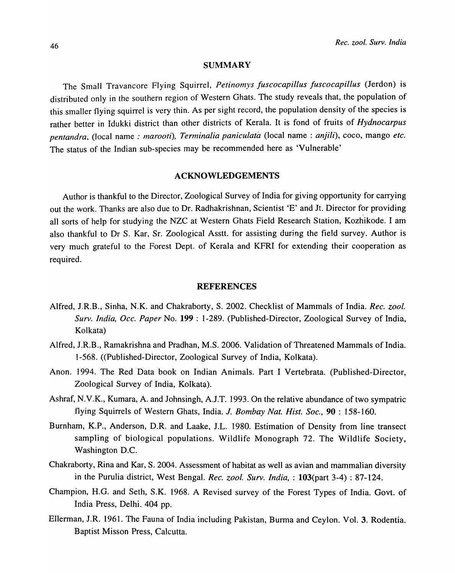#### SUMMARY

The Small Travancore Flying Squirrel, *Petinomys fuscocapillus fuscocapillus* (Jerdon) IS distributed only in the southern region of Western Ghats. The study reveals that, the population of this smaller flying squirrel is very thin. As per sight record, the population density of the species is rather better in Idukki district than other districts of Kerala. It is fond of fruits of *Hydnocarpus pentandra,* (local name: *marooti), Terminalia paniculata* (Iocal name : *anjili)*, coco, mango *etc.*  The status of the Indian sub-species may be recommended here as 'Vulnerable'

#### ACKNOWLEDGEMENTS

Author is thankful to the Director, Zoological Survey of India for giving opportunity for carrying out the work. Thanks are also due to Dr. Radhakrishnan, Scientist 'E' and Jt. Director for providing all sorts of help for studying the NZC at Western Ghats Field Research Station, Kozhikode. I am also thankful to Dr S. Kar, Sr. Zoological Asstt. for assisting during the field survey. Author is very much grateful to the Forest Dept. of Kerala and KFRI for extending their cooperation as required.

#### REFERENCES

- Alfred, I.R.B., Sinha, N.K. and Chakraborty, S. 2002. Checklist of Mammals of India. *Rec. zool. Surv. India, Dcc. Paper* No. 199 : 1-289. (Published-Director, Zoological Survey of India, Kolkata)
- Alfred, I.R.B., Ramakrishna and Pradhan, M.S. 2006. Validation of Threatened Mammals of India. 1-568. «Published-Director, Zoological Survey of India, Kolkata).
- Anon. 1994. The Red Data book on Indian Animals. Part I Vertebrata. (Published-Director, Zoological Survey of India, Kolkata).
- Ashraf, N.V.K., Kumara, A. and lohnsingh, A.J.T. 1993. On the relative abundance of two sympatric flying Squirrels of Western Ghats, India. J. *Bombay Nat. Hist. Soc.,* 90 : 158-160.
- Burnham, K.P., Anderson, D.R. and Laake, J.L. 1980. Estimation of Density from line transect sampling of biological populations. Wildlife Monograph 72. The Wildlife Society, Washington D.C.
- Chakraborty, Rina and Kar, S. 2004. Assessment of habitat as well as avian and mammalian diversity in the Purulia district, West Bengal. *Rec. zool. Surv. India,* : 103(part 3-4) : 87-124.
- Champion, H.G. and Seth, S.K. 1968. A Revised survey of the Forest Types of India. Govt. of India Press, Delhi. 404 pp.
- EIlerman, *I.R.* 1961. The Fauna of India including Pakistan, Burma and Ceylon. Vol. 3. Rodentia. Baptist Misson Press, Calcutta.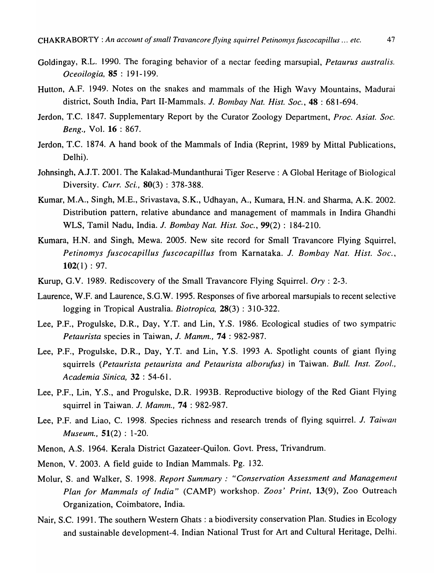- Goldingay, R.L. 1990. The foraging behavior of a nectar feeding marsupial, *Petaurus australis. Oceoilogia,* 85 : 191-199.
- Hutton, A.F. 1949. Notes on the snakes and mammals of the High Wavy Mountains, Madurai district, South India, Part II-Mammals. *J. Bombay Nat. Hist. Soc.*, **48** : 681-694.
- Jerdon, T.C. 1847. Supplementary Report by the Curator Zoology Department, *Proc. Asiat. Soc. Beng.,* Vol. 16 : 867.
- Jerdon, T.C. 1874. A hand book of the Mammals of India (Reprint, 1989 by Mittal Publications, Delhi).
- Johnsingh, AJ.T. 2001. The Kalakad-Mundanthurai Tiger Reserve: A Global Heritage of Biological Diversity. *Curr. Sci.*, **80**(3): 378-388.
- Kumar, M.A., Singh, M.E., Srivastava, S.K., Udhayan, A., Kumara, H.N. and Sharma, A.K. 2002. Distribution pattern, relative abundance and management of mammals in Indira Ghandhi WLS, Tamil Nadu, India. *1. Bombay Nat. Hist. Soc.,* 99(2) : 184-210.
- Kumara, H.N. and Singh, Mewa. 2005. New site record for Small Travancore Flying Squirrel, *Petinolnys fuscocapillus fuscocapillus* from Karnataka. *1. Bombay Nat. Hist. Soc.,*   $102(1): 97.$
- Kurup, G.V. 1989. Rediscovery of the Small Travancore Flying Squirrel. *Ory* : 2-3.
- Laurence, W.F. and Laurence, S.G.W. 1995. Responses of five arboreal marsupials to recent selective logging in Tropical Australia. *Biotropica,* 28(3) : 310-322.
- Lee, P.F., Progulske, D.R., Day, Y.T. and Lin, Y.S. 1986. Ecological studies of two sympatric *Petaurista* species in Taiwan, J. *Mamm.,* 74 : 982-987.
- Lee, P.F., Progulske, D.R., Day, Y.T. and Lin, Y.S. 1993 A. Spotlight counts of giant flying squirrels *(Petaurista petaurista and Petaurista alborufus)* in Taiwan. *Bull. Inst. Zool., Academia Sinica,* 32 : 54-61.
- Lee, P.F., Lin, Y.S., and Progulske, D.R. 1993B. Reproductive biology of the Red Giant Flying squirrel in Taiwan. *J. Mamm.*, **74** : 982-987.
- Lee, P.F. and Liao, C. 1998. Species richness and research trends of flying squirrel. *1. Taiwan Museum.,* 51(2) : 1-20.
- Menon, A.S. 1964. Kerala District Gazateer-Quilon. Govt. Press, Trivandrum.
- Menon, V. 2003. A field guide to Indian Mammals. Pg. 132.
- Molur, S. and Walker, S. 1998. *Report Summary: "Conservation Assessment and Management Plan for Mammals of India"* (CAMP) workshop. *Zoos' Print,* 13(9), Zoo Outreach Organization, Coimbatore, India.
- Nair, S.C. 1991. The southern Western Ghats: a biodiversity conservation Plan. Studies in Ecology and sustainable development-4. Indian National Trust for Art and Cultural Heritage, Delhi.